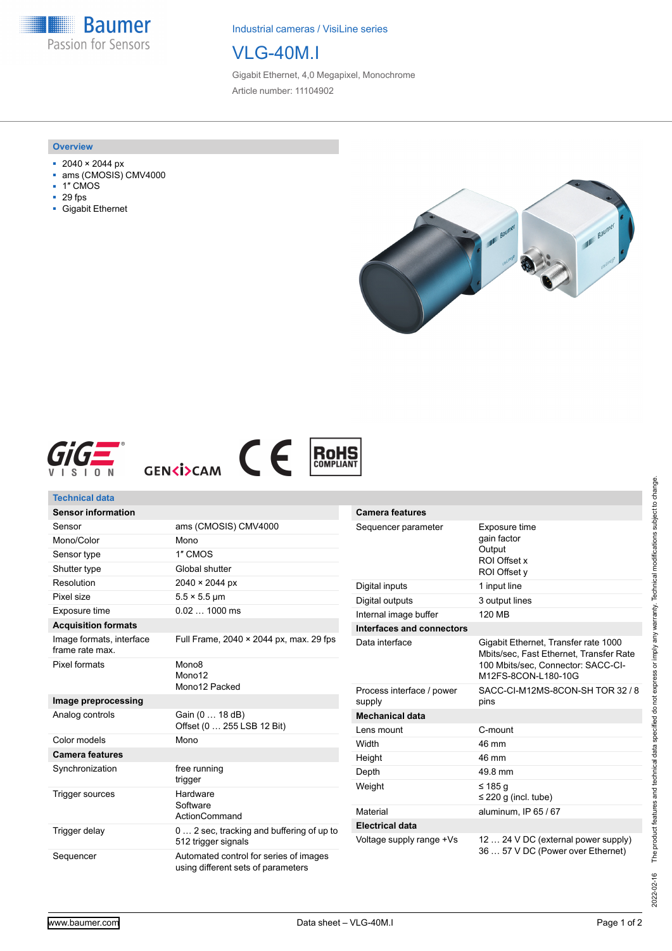**Baumer** Passion for Sensors

Industrial cameras / VisiLine series

# VLG-40M.I

Gigabit Ethernet, 4,0 Megapixel, Monochrome Article number: 11104902

#### **Overview**

- 2040 × 2044 px
- ams (CMOSIS) CMV4000
- 1″ CMOS
- 29 fps
- Gigabit Ethernet









| <b>Technical data</b> |  |  |  |
|-----------------------|--|--|--|
|                       |  |  |  |

| <b>Sensor information</b>                   |                                                                              |
|---------------------------------------------|------------------------------------------------------------------------------|
| Sensor                                      | ams (CMOSIS) CMV4000                                                         |
| Mono/Color                                  | Mono                                                                         |
| Sensor type                                 | 1" CMOS                                                                      |
| Shutter type                                | Global shutter                                                               |
| Resolution                                  | 2040 × 2044 px                                                               |
| Pixel size                                  | $5.5 \times 5.5$ µm                                                          |
| Exposure time                               | $0.021000$ ms                                                                |
| <b>Acquisition formats</b>                  |                                                                              |
| Image formats, interface<br>frame rate max. | Full Frame, 2040 × 2044 px, max. 29 fps                                      |
| Pixel formats                               | Mono <sub>8</sub><br>Mono <sub>12</sub><br>Mono12 Packed                     |
| Image preprocessing                         |                                                                              |
| Analog controls                             | Gain (0  18 dB)<br>Offset (0  255 LSB 12 Bit)                                |
| Color models                                | Mono                                                                         |
| <b>Camera features</b>                      |                                                                              |
| Synchronization                             | free running<br>trigger                                                      |
| Trigger sources                             | Hardware<br>Software<br>ActionCommand                                        |
| Trigger delay                               | 0 2 sec, tracking and buffering of up to<br>512 trigger signals              |
| Sequencer                                   | Automated control for series of images<br>using different sets of parameters |

| <b>Camera features</b>              |                                                                                                                                              |
|-------------------------------------|----------------------------------------------------------------------------------------------------------------------------------------------|
| Sequencer parameter                 | Exposure time<br>gain factor<br>Output<br>ROI Offset x<br>ROI Offset y                                                                       |
| Digital inputs                      | 1 input line                                                                                                                                 |
| Digital outputs                     | 3 output lines                                                                                                                               |
| Internal image buffer               | <b>120 MB</b>                                                                                                                                |
| Interfaces and connectors           |                                                                                                                                              |
| Data interface                      | Gigabit Ethernet, Transfer rate 1000<br>Mbits/sec, Fast Ethernet, Transfer Rate<br>100 Mbits/sec, Connector: SACC-CI-<br>M12FS-8CON-L180-10G |
| Process interface / power<br>supply | SACC-CI-M12MS-8CON-SH TOR 32 / 8<br>pins                                                                                                     |
| <b>Mechanical data</b>              |                                                                                                                                              |
| Lens mount                          | C-mount                                                                                                                                      |
| Width                               | 46 mm                                                                                                                                        |
| Height                              | 46 mm                                                                                                                                        |
| Depth                               | 49.8 mm                                                                                                                                      |
| Weight                              | ≤ 185 a<br>$\leq$ 220 g (incl. tube)                                                                                                         |
| Material                            | aluminum, IP 65 / 67                                                                                                                         |
| <b>Electrical data</b>              |                                                                                                                                              |
| Voltage supply range +Vs            | 12  24 V DC (external power supply)<br>36  57 V DC (Power over Ethernet)                                                                     |